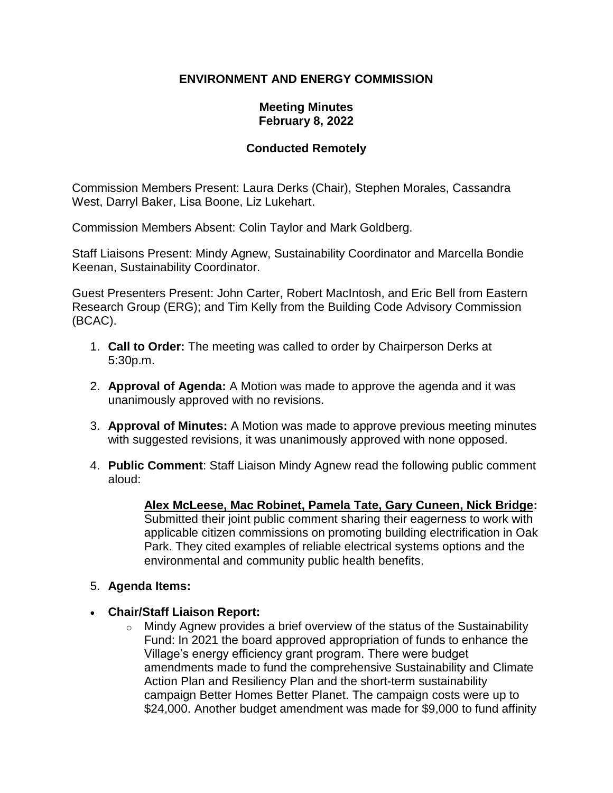## **ENVIRONMENT AND ENERGY COMMISSION**

### **Meeting Minutes February 8, 2022**

## **Conducted Remotely**

Commission Members Present: Laura Derks (Chair), Stephen Morales, Cassandra West, Darryl Baker, Lisa Boone, Liz Lukehart.

Commission Members Absent: Colin Taylor and Mark Goldberg.

Staff Liaisons Present: Mindy Agnew, Sustainability Coordinator and Marcella Bondie Keenan, Sustainability Coordinator.

Guest Presenters Present: John Carter, Robert MacIntosh, and Eric Bell from Eastern Research Group (ERG); and Tim Kelly from the Building Code Advisory Commission (BCAC).

- 1. **Call to Order:** The meeting was called to order by Chairperson Derks at 5:30p.m.
- 2. **Approval of Agenda:** A Motion was made to approve the agenda and it was unanimously approved with no revisions.
- 3. **Approval of Minutes:** A Motion was made to approve previous meeting minutes with suggested revisions, it was unanimously approved with none opposed.
- 4. **Public Comment**: Staff Liaison Mindy Agnew read the following public comment aloud:

**Alex McLeese, Mac Robinet, Pamela Tate, Gary Cuneen, Nick Bridge:** Submitted their joint public comment sharing their eagerness to work with applicable citizen commissions on promoting building electrification in Oak Park. They cited examples of reliable electrical systems options and the environmental and community public health benefits.

### 5. **Agenda Items:**

- **Chair/Staff Liaison Report:**
	- $\circ$  Mindy Agnew provides a brief overview of the status of the Sustainability Fund: In 2021 the board approved appropriation of funds to enhance the Village's energy efficiency grant program. There were budget amendments made to fund the comprehensive Sustainability and Climate Action Plan and Resiliency Plan and the short-term sustainability campaign Better Homes Better Planet. The campaign costs were up to \$24,000. Another budget amendment was made for \$9,000 to fund affinity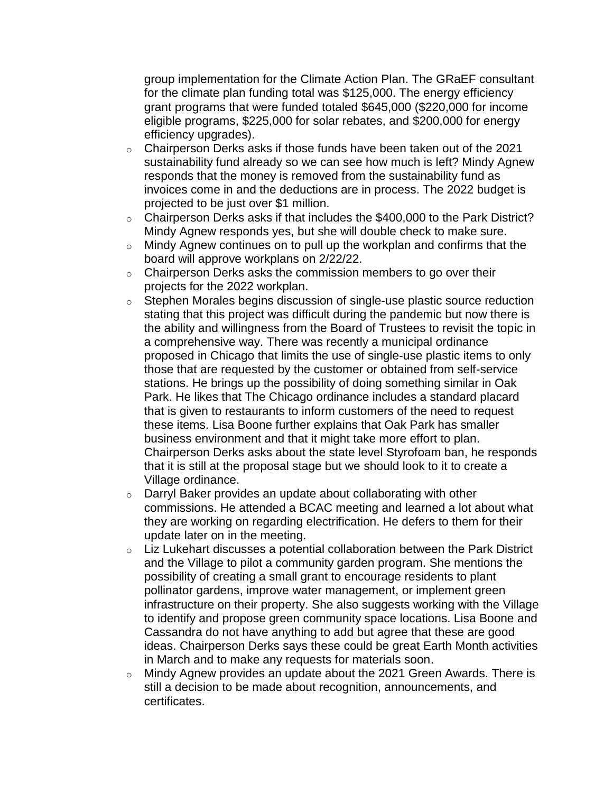group implementation for the Climate Action Plan. The GRaEF consultant for the climate plan funding total was \$125,000. The energy efficiency grant programs that were funded totaled \$645,000 (\$220,000 for income eligible programs, \$225,000 for solar rebates, and \$200,000 for energy efficiency upgrades).

- o Chairperson Derks asks if those funds have been taken out of the 2021 sustainability fund already so we can see how much is left? Mindy Agnew responds that the money is removed from the sustainability fund as invoices come in and the deductions are in process. The 2022 budget is projected to be just over \$1 million.
- o Chairperson Derks asks if that includes the \$400,000 to the Park District? Mindy Agnew responds yes, but she will double check to make sure.
- $\circ$  Mindy Agnew continues on to pull up the workplan and confirms that the board will approve workplans on 2/22/22.
- $\circ$  Chairperson Derks asks the commission members to go over their projects for the 2022 workplan.
- o Stephen Morales begins discussion of single-use plastic source reduction stating that this project was difficult during the pandemic but now there is the ability and willingness from the Board of Trustees to revisit the topic in a comprehensive way. There was recently a municipal ordinance proposed in Chicago that limits the use of single-use plastic items to only those that are requested by the customer or obtained from self-service stations. He brings up the possibility of doing something similar in Oak Park. He likes that The Chicago ordinance includes a standard placard that is given to restaurants to inform customers of the need to request these items. Lisa Boone further explains that Oak Park has smaller business environment and that it might take more effort to plan. Chairperson Derks asks about the state level Styrofoam ban, he responds that it is still at the proposal stage but we should look to it to create a Village ordinance.
- o Darryl Baker provides an update about collaborating with other commissions. He attended a BCAC meeting and learned a lot about what they are working on regarding electrification. He defers to them for their update later on in the meeting.
- $\circ$  Liz Lukehart discusses a potential collaboration between the Park District and the Village to pilot a community garden program. She mentions the possibility of creating a small grant to encourage residents to plant pollinator gardens, improve water management, or implement green infrastructure on their property. She also suggests working with the Village to identify and propose green community space locations. Lisa Boone and Cassandra do not have anything to add but agree that these are good ideas. Chairperson Derks says these could be great Earth Month activities in March and to make any requests for materials soon.
- o Mindy Agnew provides an update about the 2021 Green Awards. There is still a decision to be made about recognition, announcements, and certificates.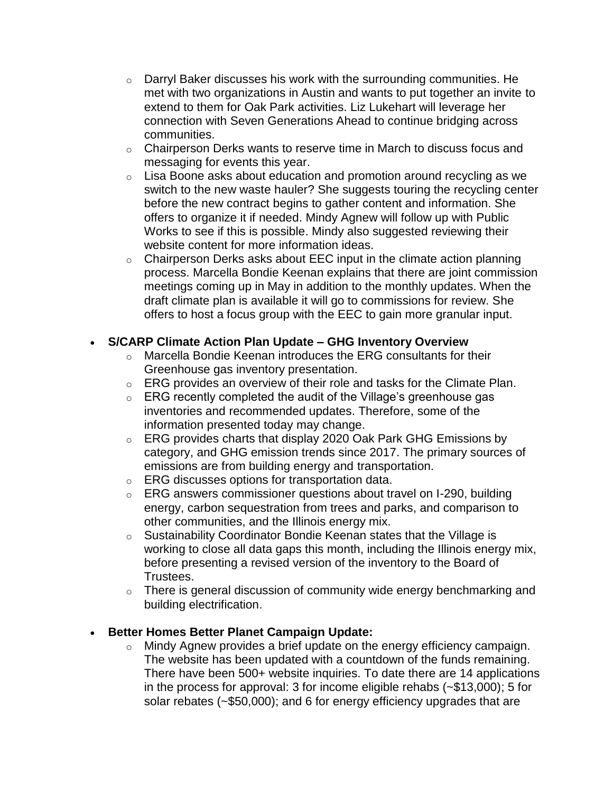- $\circ$  Darryl Baker discusses his work with the surrounding communities. He met with two organizations in Austin and wants to put together an invite to extend to them for Oak Park activities. Liz Lukehart will leverage her connection with Seven Generations Ahead to continue bridging across communities.
- o Chairperson Derks wants to reserve time in March to discuss focus and messaging for events this year.
- $\circ$  Lisa Boone asks about education and promotion around recycling as we switch to the new waste hauler? She suggests touring the recycling center before the new contract begins to gather content and information. She offers to organize it if needed. Mindy Agnew will follow up with Public Works to see if this is possible. Mindy also suggested reviewing their website content for more information ideas.
- $\circ$  Chairperson Derks asks about EEC input in the climate action planning process. Marcella Bondie Keenan explains that there are joint commission meetings coming up in May in addition to the monthly updates. When the draft climate plan is available it will go to commissions for review. She offers to host a focus group with the EEC to gain more granular input.

# • **S/CARP Climate Action Plan Update – GHG Inventory Overview**

- o Marcella Bondie Keenan introduces the ERG consultants for their Greenhouse gas inventory presentation.
- o ERG provides an overview of their role and tasks for the Climate Plan.
- $\circ$  ERG recently completed the audit of the Village's greenhouse gas inventories and recommended updates. Therefore, some of the information presented today may change.
- $\circ$  ERG provides charts that display 2020 Oak Park GHG Emissions by category, and GHG emission trends since 2017. The primary sources of emissions are from building energy and transportation.
- o ERG discusses options for transportation data.
- o ERG answers commissioner questions about travel on I-290, building energy, carbon sequestration from trees and parks, and comparison to other communities, and the Illinois energy mix.
- o Sustainability Coordinator Bondie Keenan states that the Village is working to close all data gaps this month, including the Illinois energy mix, before presenting a revised version of the inventory to the Board of Trustees.
- $\circ$  There is general discussion of community wide energy benchmarking and building electrification.

# • **Better Homes Better Planet Campaign Update:**

o Mindy Agnew provides a brief update on the energy efficiency campaign. The website has been updated with a countdown of the funds remaining. There have been 500+ website inquiries. To date there are 14 applications in the process for approval: 3 for income eligible rehabs (~\$13,000); 5 for solar rebates (~\$50,000); and 6 for energy efficiency upgrades that are